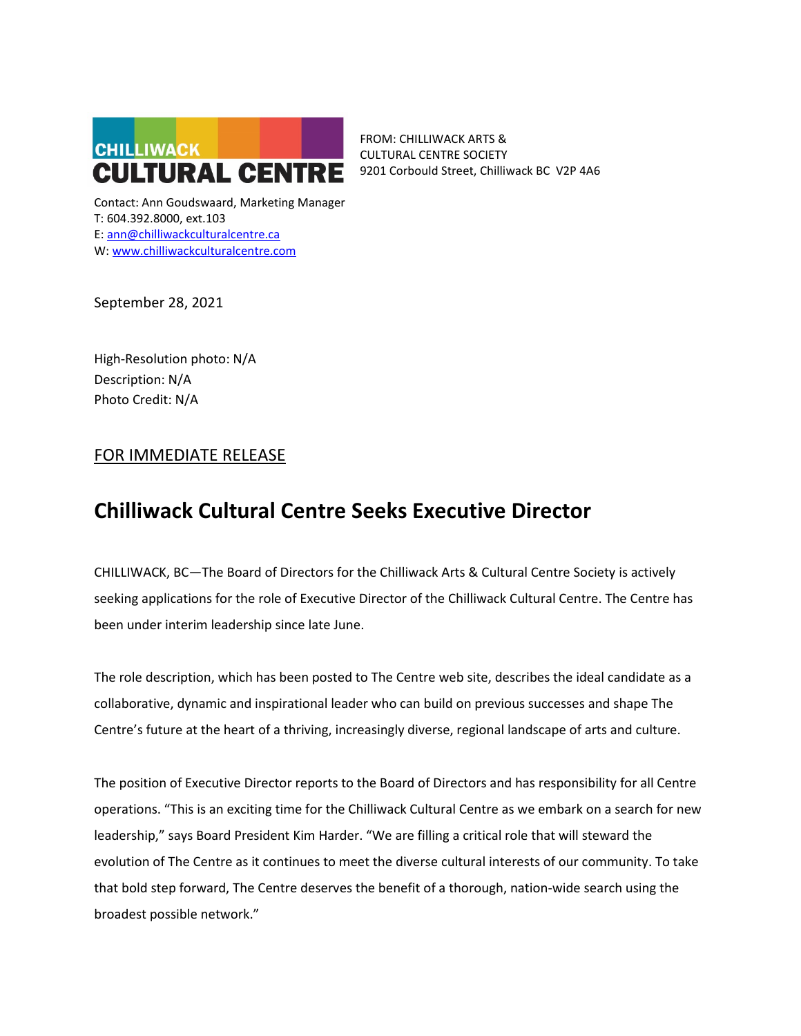

FROM: CHILLIWACK ARTS & CULTURAL CENTRE SOCIETY 9201 Corbould Street, Chilliwack BC V2P 4A6

Contact: Ann Goudswaard, Marketing Manager T: 604.392.8000, ext.103 E: ann@chilliwackculturalcentre.ca W: www.chilliwackculturalcentre.com

September 28, 2021

High-Resolution photo: N/A Description: N/A Photo Credit: N/A

# FOR IMMEDIATE RELEASE

# **Chilliwack Cultural Centre Seeks Executive Director**

CHILLIWACK, BC—The Board of Directors for the Chilliwack Arts & Cultural Centre Society is actively seeking applications for the role of Executive Director of the Chilliwack Cultural Centre. The Centre has been under interim leadership since late June.

The role description, which has been posted to The Centre web site, describes the ideal candidate as a collaborative, dynamic and inspirational leader who can build on previous successes and shape The Centre's future at the heart of a thriving, increasingly diverse, regional landscape of arts and culture.

The position of Executive Director reports to the Board of Directors and has responsibility for all Centre operations. "This is an exciting time for the Chilliwack Cultural Centre as we embark on a search for new leadership," says Board President Kim Harder. "We are filling a critical role that will steward the evolution of The Centre as it continues to meet the diverse cultural interests of our community. To take that bold step forward, The Centre deserves the benefit of a thorough, nation-wide search using the broadest possible network."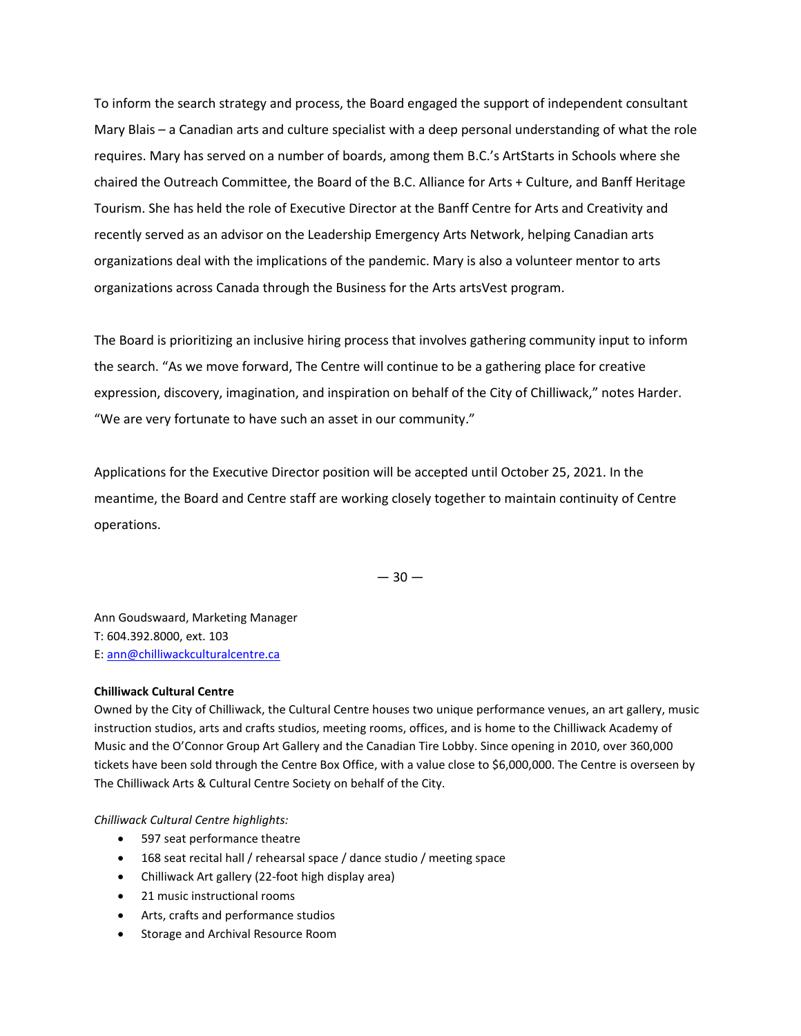To inform the search strategy and process, the Board engaged the support of independent consultant Mary Blais – a Canadian arts and culture specialist with a deep personal understanding of what the role requires. Mary has served on a number of boards, among them B.C.'s ArtStarts in Schools where she chaired the Outreach Committee, the Board of the B.C. Alliance for Arts + Culture, and Banff Heritage Tourism. She has held the role of Executive Director at the Banff Centre for Arts and Creativity and recently served as an advisor on the Leadership Emergency Arts Network, helping Canadian arts organizations deal with the implications of the pandemic. Mary is also a volunteer mentor to arts organizations across Canada through the Business for the Arts artsVest program.

The Board is prioritizing an inclusive hiring process that involves gathering community input to inform the search. "As we move forward, The Centre will continue to be a gathering place for creative expression, discovery, imagination, and inspiration on behalf of the City of Chilliwack," notes Harder. "We are very fortunate to have such an asset in our community."

Applications for the Executive Director position will be accepted until October 25, 2021. In the meantime, the Board and Centre staff are working closely together to maintain continuity of Centre operations.

 $-30-$ 

Ann Goudswaard, Marketing Manager T: 604.392.8000, ext. 103 E: [ann@chilliwackculturalcentre.ca](mailto:ann@chilliwackculturalcentre.ca)

## **Chilliwack Cultural Centre**

Owned by the City of Chilliwack, the Cultural Centre houses two unique performance venues, an art gallery, music instruction studios, arts and crafts studios, meeting rooms, offices, and is home to the Chilliwack Academy of Music and the O'Connor Group Art Gallery and the Canadian Tire Lobby. Since opening in 2010, over 360,000 tickets have been sold through the Centre Box Office, with a value close to \$6,000,000. The Centre is overseen by The Chilliwack Arts & Cultural Centre Society on behalf of the City.

*Chilliwack Cultural Centre highlights:*

- 597 seat performance theatre
- 168 seat recital hall / rehearsal space / dance studio / meeting space
- Chilliwack Art gallery (22-foot high display area)
- 21 music instructional rooms
- Arts, crafts and performance studios
- Storage and Archival Resource Room